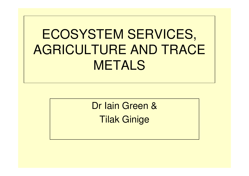# ECOSYSTEM SERVICES, AGRICULTURE AND TRACE METALS

Dr Iain Green &Tilak Ginige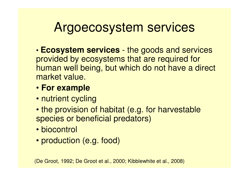### Argoecosystem services

- • **Ecosystem services** - the goods and services provided by ecosystems that are required for human well being, but which do not have a direct market value.
- **For example**
- nutrient cycling
- the provision of habitat (e.g. for harvestable species or beneficial predators)
- biocontrol
- production (e.g. food)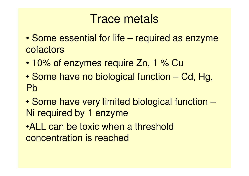#### Trace metals

- • Some essential for life – required as enzyme cofactors
- •10% of enzymes require Zn, 1 % Cu
- $\bullet$  Some have no biological function – Cd, Hg, Pb
- $\bullet$  Some have very limited biological function –Ni required by 1 enzyme

•ALL can be toxic when a threshold concentration is reached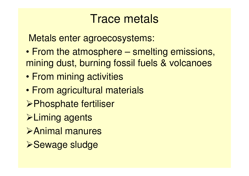#### Trace metals

Metals enter agroecosystems:

- $\bullet$  From the atmosphere – smelting emissions, mining dust, burning fossil fuels & volcanoes
- $\bullet$ From mining activities
- $\bullet$ From agricultural materials
- Phosphate fertiliser
- **Eliming agents**
- Animal manures
- **>Sewage sludge**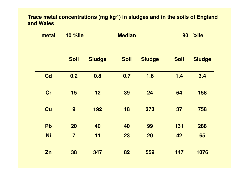#### **Trace metal concentrations (mg kg-1) in sludges and in the soils of England and Wales**

| metal     | <b>10 %ile</b> |               | <b>Median</b> |               | %ile<br>90  |               |
|-----------|----------------|---------------|---------------|---------------|-------------|---------------|
|           | <b>Soil</b>    | <b>Sludge</b> | <b>Soil</b>   | <b>Sludge</b> | <b>Soil</b> | <b>Sludge</b> |
| Cd        | 0.2            | 0.8           | 0.7           | 1.6           | 1.4         | 3.4           |
| Cr        | 15             | 12            | 39            | 24            | 64          | 158           |
| Cu        | 9              | 192           | 18            | 373           | 37          | 758           |
| Pb        | 20             | 40            | 40            | 99            | 131         | 288           |
| <b>Ni</b> | $\overline{7}$ | 11            | 23            | 20            | 42          | 65            |
| Zn        | 38             | 347           | 82            | 559           | 147         | 1076          |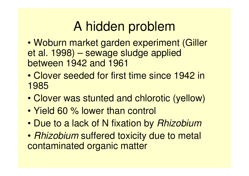# A hidden problem

- WODUD MARKAI NAMAN AYDANM Woburn market garden experiment (Gilleret al. 1998) – sewage sludge applied between 1942 and 1961
- • Clover seeded for first time since 1942 in 1985
- •Clover was stunted and chlorotic (yellow)
- $\bullet$ Yield 60 % lower than control
- •Due to a lack of N fixation by Rhizobium
- $\bullet$  Bolzoollim sultarad toyicity dua to mat • *Rhizobium* suffered toxicity due to metal<br>contaminated organic matter contaminated organic matter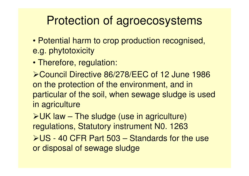### Protection of agroecosystems

- Potential harm to crop production recognised, e.g. phytotoxicity
- Therefore, regulation:

▶ Council Directive 86/278/EEC of 12 June 1986 on the protection of the environment, and in particular of the soil, when sewage sludge is used in agriculture

 $\triangleright$  UK law – The sludge (use in agriculture) regulations, Statutory instrument N0. 1263

US - 40 CFR Part 503 – Standards for the use or disposal of sewage sludge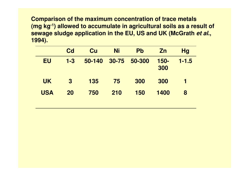**Comparison of the maximum concentration of trace metals (mg kg-1) allowed to accumulate in agricultural soils as a result of sewage sludge application in the EU, US and UK (McGrath et al., 1994).** 

|            | <b>Cd</b>      | Cu         | <b>Ni</b> | <b>Pb</b> | Zn          | <b>Hg</b> |
|------------|----------------|------------|-----------|-----------|-------------|-----------|
| EU         | $1 - 3$        | $50 - 140$ | 30-75     | 50-300    | 150-<br>300 | $1 - 1.5$ |
| <b>UK</b>  | $\overline{3}$ | <b>135</b> | 75        | 300       | 300         | 1         |
| <b>USA</b> | 20             | 750        | 210       | 150       | 1400        | 8         |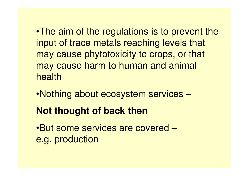•The aim of the regulations is to prevent the input of trace metals reaching levels that may cause phytotoxicity to crops, or that may cause harm to human and animal health

•Nothing about ecosystem services –

#### **Not thought of back then**

•But some services are covered –e.g. production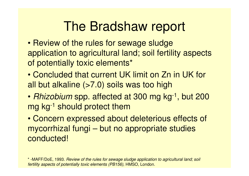# The Bradshaw report

- Review of the rules for sewage sludge application to agricultural land; soil fertility aspects of potentially toxic elements\*
- Concluded that current UK limit on Zn in UK for all but alkaline (>7.0) soils was too high
- Rhizobium spp. affected at 300 mg kg<sup>-1</sup>, but 200 mg kg-1 should protect them

 • Concern expressed about deleterious effects of mycorrhizal fungi – but no appropriate studies conducted!

\* -MAFF/DoE, 1993. Review of the rules for sewage sludge application to agricultural land; soil fertility aspects of potentially toxic elements (PB156), HMSO, London.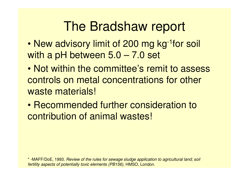# The Bradshaw report

- •New advisory limit of 200 mg kg<sup>-1</sup>for soil with a pH between 5.0 – 7.0 set
- • Not within the committee's remit to assess controls on metal concentrations for other waste materials!
- • Recommended further consideration to contribution of animal wastes!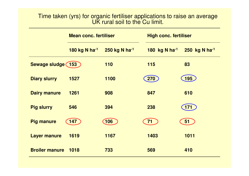#### Time taken (yrs) for organic fertiliser applications to raise an average UK rural soil to the Cu limit.

|                       | <b>Mean conc. fertiliser</b> |               | <b>High conc. fertiliser</b> |                           |  |
|-----------------------|------------------------------|---------------|------------------------------|---------------------------|--|
|                       | 180 kg N ha <sup>-1</sup>    | 250 kg N ha-1 | 180 kg N ha-1                | 250 kg N ha <sup>-1</sup> |  |
| Sewage sludge (153    |                              | 110           | 115                          | 83                        |  |
| <b>Diary slurry</b>   | 1527                         | 1100          | 270                          | 195                       |  |
| <b>Dairy manure</b>   | 1261                         | 908           | 847                          | 610                       |  |
| <b>Pig slurry</b>     | 546                          | 394           | 238                          | <b>171</b>                |  |
| <b>Pig manure</b>     | 147                          | 106           | 71                           | 51                        |  |
| <b>Layer manure</b>   | 1619                         | 1167          | 1403                         | 1011                      |  |
| <b>Broiler manure</b> | 1018                         | 733           | 569                          | 410                       |  |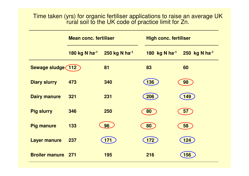#### Time taken (yrs) for organic fertiliser applications to raise an average UK rural soil to the UK code of practice limit for Zn.

|                       | <b>Mean conc. fertiliser</b>                        |     |  | <b>High conc. fertiliser</b> |                                |  |  |
|-----------------------|-----------------------------------------------------|-----|--|------------------------------|--------------------------------|--|--|
|                       | 180 kg N ha <sup>-1</sup> 250 kg N ha <sup>-1</sup> |     |  | 180 kg N ha <sup>-1</sup>    | $250 \;$ kg N ha <sup>-1</sup> |  |  |
| Sewage sludge (112    |                                                     | 81  |  | 83                           | 60                             |  |  |
| <b>Diary slurry</b>   | 473                                                 | 340 |  | 136                          | 98                             |  |  |
| <b>Dairy manure</b>   | 321                                                 | 231 |  | 206                          | 149                            |  |  |
| <b>Pig slurry</b>     | 346                                                 | 250 |  | 80                           | 57                             |  |  |
| <b>Pig manure</b>     | 133                                                 | 96  |  | 80                           | 58                             |  |  |
| <b>Layer manure</b>   | 237                                                 | 171 |  | 172                          | 124                            |  |  |
| <b>Broiler manure</b> | <b>271</b>                                          | 195 |  | 216                          | 156                            |  |  |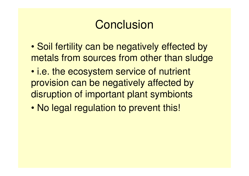### **Conclusion**

- • Soil fertility can be negatively effected by metals from sources from other than sludge
- • i.e. the ecosystem service of nutrient provision can be negatively affected by disruption of important plant symbionts
- •No legal regulation to prevent this!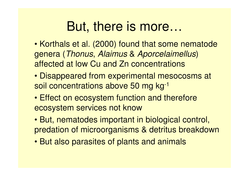## But, there is more…

- Korthals et al. (2000) found that some nematode genera (Thonus, Alaimus & Aporcelaimellus) affected at low Cu and Zn concentrations
- Disappeared from experimental mesocosms at soil concentrations above 50 mg kg<sup>-1</sup>
- Effect on ecosystem function and therefore ecosystem services not know
- But, nematodes important in biological control, predation of microorganisms & detritus breakdown
- But also parasites of plants and animals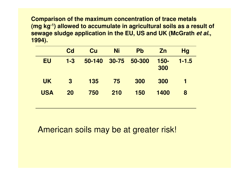**Comparison of the maximum concentration of trace metals (mg kg-1) allowed to accumulate in agricultural soils as a result of sewage sludge application in the EU, US and UK (McGrath et al., 1994).** 

|            | <b>Cd</b> | Cu         | <b>Ni</b> | <b>Pb</b> | Zn          | <b>Hg</b> |
|------------|-----------|------------|-----------|-----------|-------------|-----------|
| <b>EU</b>  | $1 - 3$   | $50 - 140$ | 30-75     | 50-300    | 150-<br>300 | $1 - 1.5$ |
| <b>UK</b>  | $\bf{3}$  | <b>135</b> | 75        | 300       | 300         | 1         |
| <b>USA</b> | 20        | 750        | 210       | 150       | 1400        | 8         |

American soils may be at greater risk!